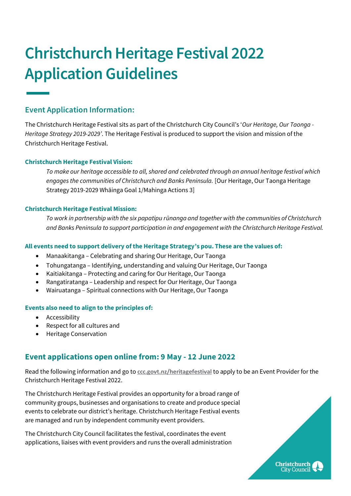# **Christchurch Heritage Festival 2022 Application Guidelines**

# **Event Application Information:**

The Christchurch Heritage Festival sits as part of the Christchurch City Council's '*Our Heritage, Our Taonga - Heritage Strategy 2019-2029'*. The Heritage Festival is produced to support the vision and mission of the Christchurch Heritage Festival.

## **Christchurch Heritage Festival Vision:**

*To make our heritage accessible to all, shared and celebrated through an annual heritage festival which engages the communities of Christchurch and Banks Peninsula.* [Our Heritage, Our Taonga Heritage Strategy 2019-2029 Whāinga Goal 1/Mahinga Actions 3]

#### **Christchurch Heritage Festival Mission:**

*To work in partnership with the six papatipu rūnanga and together with the communities of Christchurch and Banks Peninsula to support participation in and engagement with the Christchurch Heritage Festival.*

#### **All events need to support delivery of the Heritage Strategy's pou. These are the values of:**

- Manaakitanga Celebrating and sharing Our Heritage, Our Taonga
- Tohungatanga Identifying, understanding and valuing Our Heritage, Our Taonga
- Kaitiakitanga Protecting and caring for Our Heritage, Our Taonga
- Rangatiratanga Leadership and respect for Our Heritage, Our Taonga
- Wairuatanga Spiritual connections with Our Heritage, Our Taonga

#### **Events also need to align to the principles of:**

- Accessibility
- Respect for all cultures and
- Heritage Conservation

# **Event applications open online from: 9 May - 12 June 2022**

Read the following information and go to **[ccc.govt.nz/heritagefestival](https://ccc.govt.nz/culture-and-community/heritage/heritagefestival/)** to apply to be an Event Provider for the Christchurch Heritage Festival 2022.

The Christchurch Heritage Festival provides an opportunity for a broad range of community groups, businesses and organisations to create and produce special events to celebrate our district's heritage. Christchurch Heritage Festival events are managed and run by independent community event providers.

The Christchurch City Council facilitates the festival, coordinates the event applications, liaises with event providers and runs the overall administration

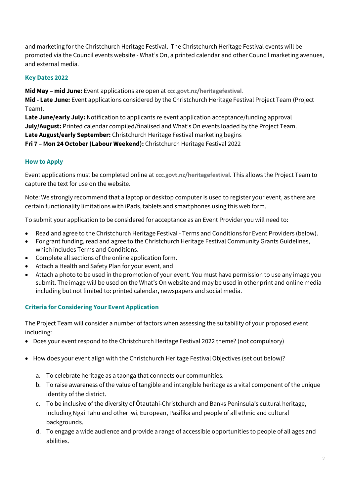and marketing for the Christchurch Heritage Festival. The Christchurch Heritage Festival events will be promoted via the Council events website - What's On, a printed calendar and other Council marketing avenues, and external media.

# **Key Dates 2022**

**Mid May – mid June:** Event applications are open at **[ccc.govt.nz/heritagefestival](https://ccc.govt.nz/culture-and-community/heritage/heritagefestival/)**.

**Mid - Late June:** Event applications considered by the Christchurch Heritage Festival Project Team (Project Team).

**Late June/early July:** Notification to applicants re event application acceptance/funding approval **July/August:** Printed calendar compiled/finalised and What's On events loaded by the Project Team. **Late August/early September:** Christchurch Heritage Festival marketing begins **Fri 7 – Mon 24 October(Labour Weekend):** Christchurch Heritage Festival 2022

# **How to Apply**

Event applications must be completed online at **[ccc.govt.nz/heritagefestival](https://ccc.govt.nz/culture-and-community/heritage/heritagefestival/)**. This allows the Project Team to capture the text for use on the website.

Note: We strongly recommend that a laptop or desktop computer is used to register your event, as there are certain functionality limitations with iPads, tablets and smartphones using this web form.

To submit your application to be considered for acceptance as an Event Provider you will need to:

- Read and agree to the Christchurch Heritage Festival Terms and Conditions for Event Providers (below).
- For grant funding, read and agree to the Christchurch Heritage Festival Community Grants Guidelines, which includes Terms and Conditions.
- Complete all sections of the online application form.
- Attach a Health and Safety Plan for your event, and
- Attach a photo to be used in the promotion of your event. You must have permission to use any image you submit. The image will be used on the What's On website and may be used in other print and online media including but not limited to: printed calendar, newspapers and social media.

## **Criteria for Considering Your Event Application**

The Project Team will consider a number of factors when assessing the suitability of your proposed event including:

- Does your event respond to the Christchurch Heritage Festival 2022 theme? (not compulsory)
- How does your event align with the Christchurch Heritage Festival Objectives (set out below)?
	- a. To celebrate heritage as a taonga that connects our communities.
	- b. To raise awareness of the value of tangible and intangible heritage as a vital component of the unique identity of the district.
	- c. To be inclusive of the diversity of Ōtautahi-Christchurch and Banks Peninsula's cultural heritage, including Ngāi Tahu and other iwi, European, Pasifika and people of all ethnic and cultural backgrounds.
	- d. To engage a wide audience and provide a range of accessible opportunities to people of all ages and abilities.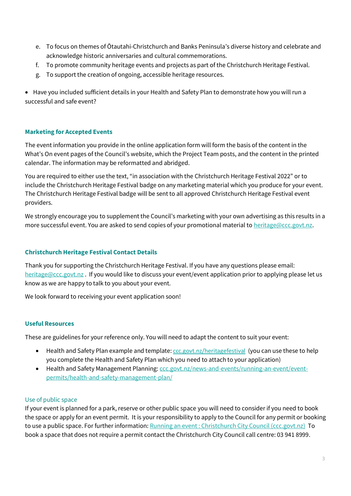- e. To focus on themes of Ōtautahi-Christchurch and Banks Peninsula's diverse history and celebrate and acknowledge historic anniversaries and cultural commemorations.
- f. To promote community heritage events and projects as part of the Christchurch Heritage Festival.
- g. To support the creation of ongoing, accessible heritage resources.

• Have you included sufficient details in your Health and Safety Plan to demonstrate how you will run a successful and safe event?

## **Marketing for Accepted Events**

The event information you provide in the online application form will form the basis of the content in the What's On event pages of the Council's website, which the Project Team posts, and the content in the printed calendar. The information may be reformatted and abridged.

You are required to either use the text, "in association with the Christchurch Heritage Festival 2022" or to include the Christchurch Heritage Festival badge on any marketing material which you produce for your event. The Christchurch Heritage Festival badge will be sent to all approved Christchurch Heritage Festival event providers.

We strongly encourage you to supplement the Council's marketing with your own advertising as this results in a more successful event. You are asked to send copies of your promotional material t[o heritage@ccc.govt.nz.](mailto:heritage@ccc.govt.nz)

# **Christchurch Heritage Festival Contact Details**

Thank you for supporting the Christchurch Heritage Festival. If you have any questions please email: [heritage@ccc.govt.nz](mailto:heritage@ccc.govt.nz) . If you would like to discuss your event/event application prior to applying please let us know as we are happy to talk to you about your event.

We look forward to receiving your event application soon!

## **Useful Resources**

These are guidelines for your reference only. You will need to adapt the content to suit your event:

- Health and Safety Plan example and template: *[ccc.govt.nz/heritagefestival](https://ccc.govt.nz/culture-and-community/heritage/heritagefestival/)* (you can use these to help you complete the Health and Safety Plan which you need to attach to your application)
- Health and Safety Management Planning: [ccc.govt.nz/news-and-events/running-an-event/event](https://www.ccc.govt.nz/news-and-events/running-an-event/event-permits/health-and-safety-management-plan/)[permits/health-and-safety-management-plan/](https://www.ccc.govt.nz/news-and-events/running-an-event/event-permits/health-and-safety-management-plan/)

#### Use of public space

If your event is planned for a park, reserve or other public space you will need to consider if you need to book the space or apply for an event permit. It is your responsibility to apply to the Council for any permit or booking to use a public space. For further information[: Running an event : Christchurch City Council \(ccc.govt.nz\)](https://ccc.govt.nz/news-and-events/running-an-event/#Events) To book a space that does not require a permit contact the Christchurch City Council call centre: 03 941 8999.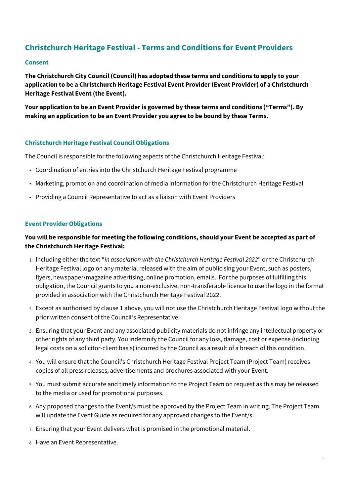# **Christchurch Heritage Festival - Terms and Conditions for Event Providers**

#### **Consent**

**The Christchurch City Council (Council) has adopted these terms and conditions to apply to your application to be a Christchurch Heritage Festival Event Provider(Event Provider) of a Christchurch Heritage Festival Event (the Event).**

**Your application to be an Event Provider is governed by these terms and conditions ("Terms"). By making an application to be an Event Provider you agree to be bound by these Terms.**

#### **Christchurch Heritage Festival Council Obligations**

The Council is responsible for the following aspects of the Christchurch Heritage Festival:

- Coordination of entries into the Christchurch Heritage Festival programme
- Marketing, promotion and coordination of media information for the Christchurch Heritage Festival
- Providing a Council Representative to act as a liaison with Event Providers

#### **Event Provider Obligations**

# **You will be responsible for meeting the following conditions, should your Event be accepted as part of the Christchurch Heritage Festival:**

- 1. Including either the text "*in association with the Christchurch Heritage Festival 2022*" or the Christchurch Heritage Festival logo on any material released with the aim of publicising your Event, such as posters, flyers, newspaper/magazine advertising, online promotion, emails. For the purposes of fulfilling this obligation, the Council grants to you a non-exclusive, non-transferable licence to use the logo in the format provided in association with the Christchurch Heritage Festival 2022.
- 2. Except as authorised by clause 1 above, you will not use the Christchurch Heritage Festival logo without the prior written consent of the Council's Representative.
- 3. Ensuring that your Event and any associated publicity materials do not infringe any intellectual property or other rights of any third party. You indemnify the Council for any loss, damage, cost or expense (including legal costs on a solicitor-client basis) incurred by the Council as a result of a breach of this condition.
- 4. You will ensure that the Council's Christchurch Heritage Festival Project Team (Project Team) receives copies of all press releases, advertisements and brochures associated with your Event.
- 5. You must submit accurate and timely information to the Project Team on request as this may be released to the media or used for promotional purposes.
- 6. Any proposed changes to the Event/s must be approved by the Project Team in writing. The Project Team will update the Event Guide as required for any approved changes to the Event/s.
- 7. Ensuring that your Event delivers what is promised in the promotional material.
- 8. Have an Event Representative.